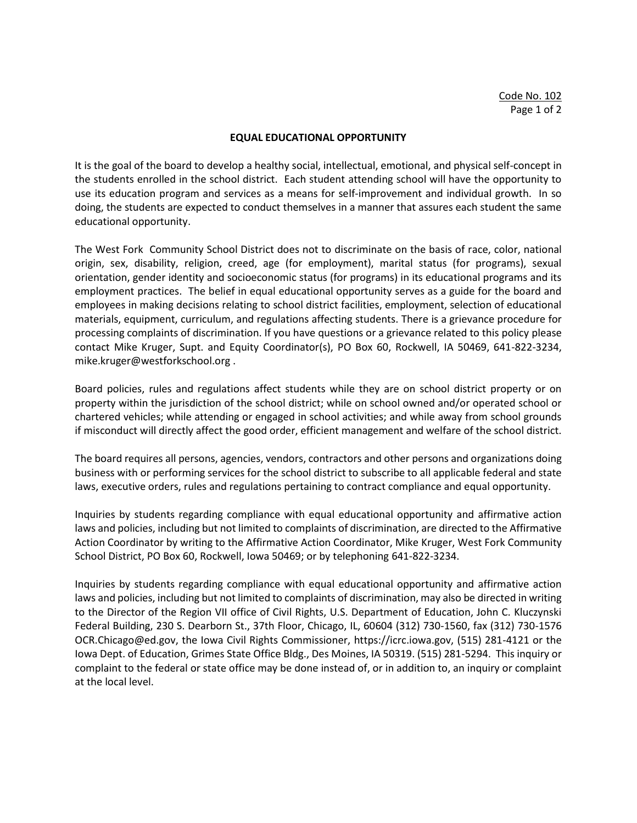### **EQUAL EDUCATIONAL OPPORTUNITY**

It is the goal of the board to develop a healthy social, intellectual, emotional, and physical self-concept in the students enrolled in the school district. Each student attending school will have the opportunity to use its education program and services as a means for self-improvement and individual growth. In so doing, the students are expected to conduct themselves in a manner that assures each student the same educational opportunity.

The West Fork Community School District does not to discriminate on the basis of race, color, national origin, sex, disability, religion, creed, age (for employment), marital status (for programs), sexual orientation, gender identity and socioeconomic status (for programs) in its educational programs and its employment practices. The belief in equal educational opportunity serves as a guide for the board and employees in making decisions relating to school district facilities, employment, selection of educational materials, equipment, curriculum, and regulations affecting students. There is a grievance procedure for processing complaints of discrimination. If you have questions or a grievance related to this policy please contact Mike Kruger, Supt. and Equity Coordinator(s), PO Box 60, Rockwell, IA 50469, 641-822-3234, mike.kruger@westforkschool.org .

Board policies, rules and regulations affect students while they are on school district property or on property within the jurisdiction of the school district; while on school owned and/or operated school or chartered vehicles; while attending or engaged in school activities; and while away from school grounds if misconduct will directly affect the good order, efficient management and welfare of the school district.

The board requires all persons, agencies, vendors, contractors and other persons and organizations doing business with or performing services for the school district to subscribe to all applicable federal and state laws, executive orders, rules and regulations pertaining to contract compliance and equal opportunity.

Inquiries by students regarding compliance with equal educational opportunity and affirmative action laws and policies, including but not limited to complaints of discrimination, are directed to the Affirmative Action Coordinator by writing to the Affirmative Action Coordinator, Mike Kruger, West Fork Community School District, PO Box 60, Rockwell, Iowa 50469; or by telephoning 641-822-3234.

Inquiries by students regarding compliance with equal educational opportunity and affirmative action laws and policies, including but not limited to complaints of discrimination, may also be directed in writing to the Director of the Region VII office of Civil Rights, U.S. Department of Education, John C. Kluczynski Federal Building, 230 S. Dearborn St., 37th Floor, Chicago, IL, 60604 (312) 730-1560, fax (312) 730-1576 OCR.Chicago@ed.gov, the Iowa Civil Rights Commissioner, https://icrc.iowa.gov, (515) 281-4121 or the Iowa Dept. of Education, Grimes State Office Bldg., Des Moines, IA 50319. (515) 281-5294. This inquiry or complaint to the federal or state office may be done instead of, or in addition to, an inquiry or complaint at the local level.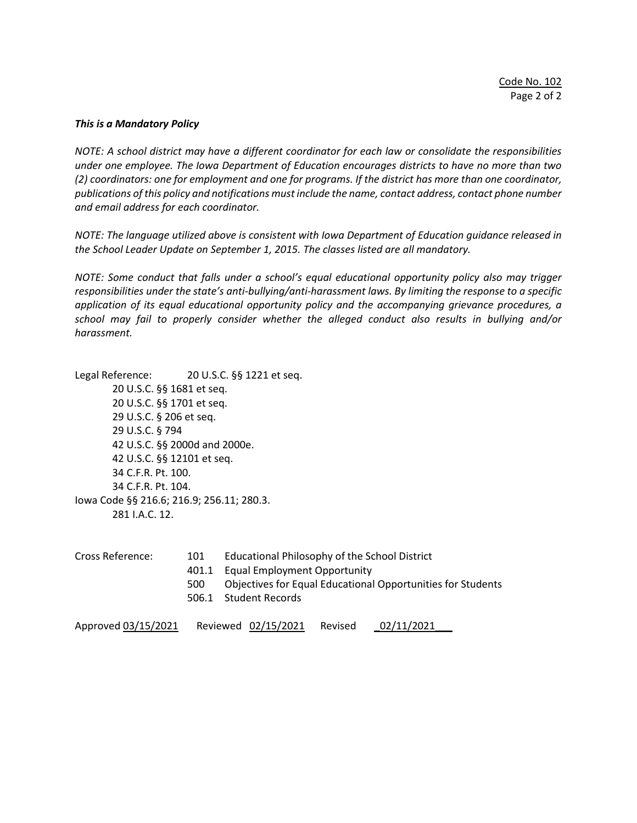#### *This is a Mandatory Policy*

*NOTE: A school district may have a different coordinator for each law or consolidate the responsibilities under one employee. The Iowa Department of Education encourages districts to have no more than two (2) coordinators: one for employment and one for programs. If the district has more than one coordinator, publications of this policy and notifications must include the name, contact address, contact phone number and email address for each coordinator.* 

*NOTE: The language utilized above is consistent with Iowa Department of Education guidance released in the School Leader Update on September 1, 2015. The classes listed are all mandatory.* 

*NOTE: Some conduct that falls under a school's equal educational opportunity policy also may trigger responsibilities under the state's anti-bullying/anti-harassment laws. By limiting the response to a specific application of its equal educational opportunity policy and the accompanying grievance procedures, a school may fail to properly consider whether the alleged conduct also results in bullying and/or harassment.*

Legal Reference: 20 U.S.C. §§ 1221 et seq. 20 U.S.C. §§ 1681 et seq. 20 U.S.C. §§ 1701 et seq. 29 U.S.C. § 206 et seq. 29 U.S.C. § 794 42 U.S.C. §§ 2000d and 2000e. 42 U.S.C. §§ 12101 et seq. 34 C.F.R. Pt. 100. 34 C.F.R. Pt. 104. Iowa Code §§ 216.6; 216.9; 256.11; 280.3. 281 I.A.C. 12.

| Cross Reference: | 101   | Educational Philosophy of the School District               |
|------------------|-------|-------------------------------------------------------------|
|                  | 401.1 | <b>Equal Employment Opportunity</b>                         |
|                  | 500   | Objectives for Equal Educational Opportunities for Students |
|                  |       | 506.1 Student Records                                       |
|                  |       |                                                             |

Approved 03/15/2021 Reviewed 02/15/2021 Revised 02/11/2021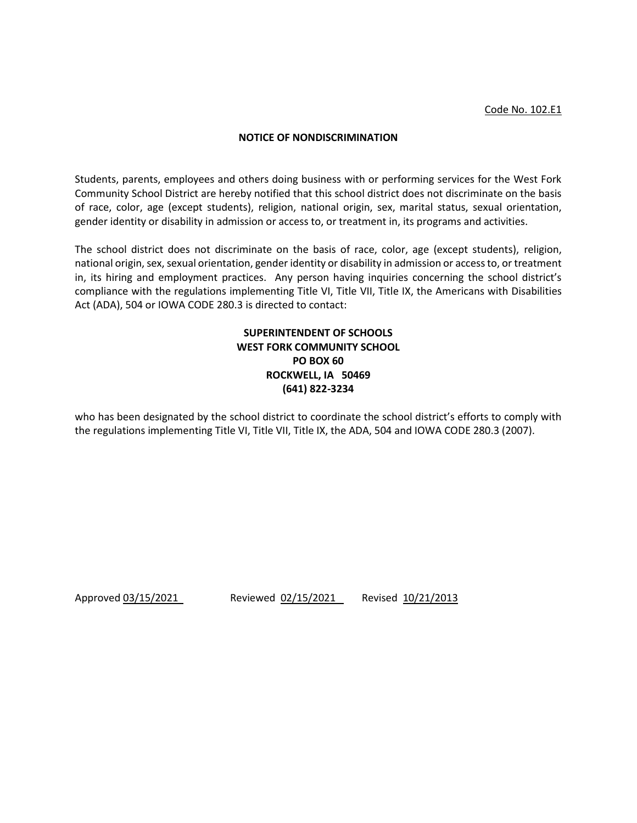### **NOTICE OF NONDISCRIMINATION**

Students, parents, employees and others doing business with or performing services for the West Fork Community School District are hereby notified that this school district does not discriminate on the basis of race, color, age (except students), religion, national origin, sex, marital status, sexual orientation, gender identity or disability in admission or access to, or treatment in, its programs and activities.

The school district does not discriminate on the basis of race, color, age (except students), religion, national origin, sex, sexual orientation, gender identity or disability in admission or access to, or treatment in, its hiring and employment practices. Any person having inquiries concerning the school district's compliance with the regulations implementing Title VI, Title VII, Title IX, the Americans with Disabilities Act (ADA), 504 or IOWA CODE 280.3 is directed to contact:

# **SUPERINTENDENT OF SCHOOLS WEST FORK COMMUNITY SCHOOL PO BOX 60 ROCKWELL, IA 50469 (641) 822-3234**

who has been designated by the school district to coordinate the school district's efforts to comply with the regulations implementing Title VI, Title VII, Title IX, the ADA, 504 and IOWA CODE 280.3 (2007).

Approved 03/15/2021 Reviewed 02/15/2021 Revised 10/21/2013